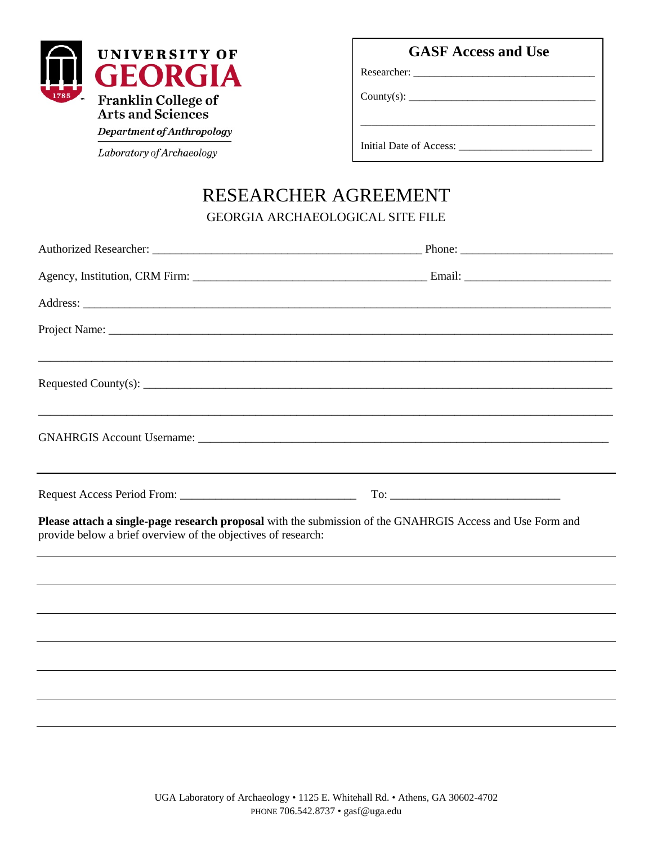

Department of Anthropology

Laboratory of Archaeology

|  | <b>GASF Access and Use</b> |  |  |
|--|----------------------------|--|--|
|--|----------------------------|--|--|

\_\_\_\_\_\_\_\_\_\_\_\_\_\_\_\_\_\_\_\_\_\_\_\_\_\_\_\_\_\_\_\_\_\_\_\_\_\_\_\_\_\_\_\_

Researcher: \_\_\_\_\_\_\_\_\_\_\_\_\_\_\_\_\_\_\_\_\_\_\_\_\_\_\_\_\_\_\_\_\_\_

County(s): \_\_\_\_\_\_\_\_\_\_\_\_\_\_\_\_\_\_\_\_\_\_\_\_\_\_\_\_\_\_\_\_\_\_\_

Initial Date of Access: \_\_\_\_\_\_\_\_\_\_\_\_\_\_\_\_\_\_\_\_\_\_\_\_\_

## RESEARCHER AGREEMENT GEORGIA ARCHAEOLOGICAL SITE FILE

|                                                                                                                                                                            | Phone: $\frac{1}{\sqrt{1-\frac{1}{2}}\sqrt{1-\frac{1}{2}}\sqrt{1-\frac{1}{2}}\sqrt{1-\frac{1}{2}}\sqrt{1-\frac{1}{2}}\sqrt{1-\frac{1}{2}}\sqrt{1-\frac{1}{2}}\sqrt{1-\frac{1}{2}}\sqrt{1-\frac{1}{2}}\sqrt{1-\frac{1}{2}}\sqrt{1-\frac{1}{2}}\sqrt{1-\frac{1}{2}}\sqrt{1-\frac{1}{2}}\sqrt{1-\frac{1}{2}}\sqrt{1-\frac{1}{2}}\sqrt{1-\frac{1}{2}}\sqrt{1-\frac{1}{2}}\sqrt{1-\frac{1}{2}}\sqrt{1-\frac{1}{2$ |
|----------------------------------------------------------------------------------------------------------------------------------------------------------------------------|--------------------------------------------------------------------------------------------------------------------------------------------------------------------------------------------------------------------------------------------------------------------------------------------------------------------------------------------------------------------------------------------------------------|
|                                                                                                                                                                            |                                                                                                                                                                                                                                                                                                                                                                                                              |
|                                                                                                                                                                            |                                                                                                                                                                                                                                                                                                                                                                                                              |
|                                                                                                                                                                            |                                                                                                                                                                                                                                                                                                                                                                                                              |
| ,我们就会在这里的人,我们就会在这里,我们就会在这里,我们就会在这里,我们就会在这里,我们就会在这里,我们就会在这里,我们就会在这里,我们就会在这里,我们就会在                                                                                           |                                                                                                                                                                                                                                                                                                                                                                                                              |
| <u> 1989 - Johann Stoff, deutscher Stoff, der Stoff, der Stoff, der Stoff, der Stoff, der Stoff, der Stoff, der S</u>                                                      |                                                                                                                                                                                                                                                                                                                                                                                                              |
|                                                                                                                                                                            |                                                                                                                                                                                                                                                                                                                                                                                                              |
| Please attach a single-page research proposal with the submission of the GNAHRGIS Access and Use Form and<br>provide below a brief overview of the objectives of research: |                                                                                                                                                                                                                                                                                                                                                                                                              |
|                                                                                                                                                                            |                                                                                                                                                                                                                                                                                                                                                                                                              |
|                                                                                                                                                                            |                                                                                                                                                                                                                                                                                                                                                                                                              |
|                                                                                                                                                                            |                                                                                                                                                                                                                                                                                                                                                                                                              |
|                                                                                                                                                                            |                                                                                                                                                                                                                                                                                                                                                                                                              |
|                                                                                                                                                                            |                                                                                                                                                                                                                                                                                                                                                                                                              |
|                                                                                                                                                                            |                                                                                                                                                                                                                                                                                                                                                                                                              |